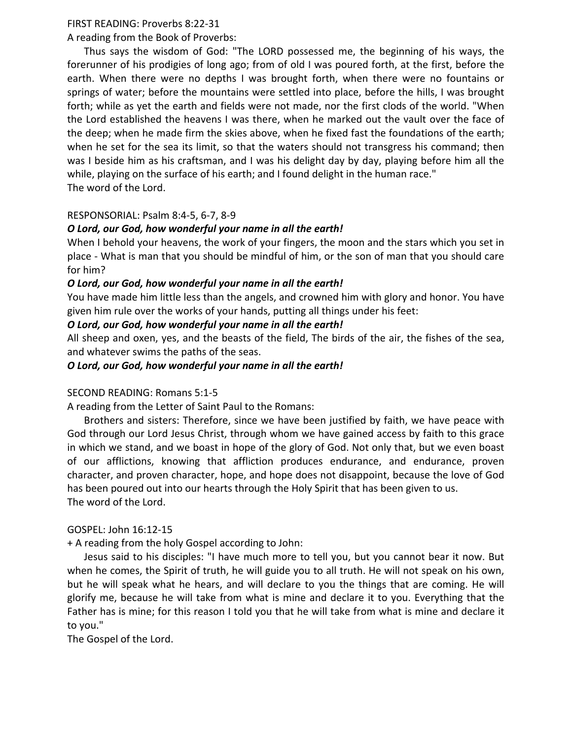### FIRST READING: Proverbs 8:22‐31

A reading from the Book of Proverbs:

 Thus says the wisdom of God: "The LORD possessed me, the beginning of his ways, the forerunner of his prodigies of long ago; from of old I was poured forth, at the first, before the earth. When there were no depths I was brought forth, when there were no fountains or springs of water; before the mountains were settled into place, before the hills, I was brought forth; while as yet the earth and fields were not made, nor the first clods of the world. "When the Lord established the heavens I was there, when he marked out the vault over the face of the deep; when he made firm the skies above, when he fixed fast the foundations of the earth; when he set for the sea its limit, so that the waters should not transgress his command; then was I beside him as his craftsman, and I was his delight day by day, playing before him all the while, playing on the surface of his earth; and I found delight in the human race." The word of the Lord.

# RESPONSORIAL: Psalm 8:4‐5, 6‐7, 8‐9

# *O Lord, our God, how wonderful your name in all the earth!*

When I behold your heavens, the work of your fingers, the moon and the stars which you set in place ‐ What is man that you should be mindful of him, or the son of man that you should care for him?

# *O Lord, our God, how wonderful your name in all the earth!*

You have made him little less than the angels, and crowned him with glory and honor. You have given him rule over the works of your hands, putting all things under his feet:

### *O Lord, our God, how wonderful your name in all the earth!*

All sheep and oxen, yes, and the beasts of the field, The birds of the air, the fishes of the sea, and whatever swims the paths of the seas.

### *O Lord, our God, how wonderful your name in all the earth!*

### SECOND READING: Romans 5:1‐5

A reading from the Letter of Saint Paul to the Romans:

 Brothers and sisters: Therefore, since we have been justified by faith, we have peace with God through our Lord Jesus Christ, through whom we have gained access by faith to this grace in which we stand, and we boast in hope of the glory of God. Not only that, but we even boast of our afflictions, knowing that affliction produces endurance, and endurance, proven character, and proven character, hope, and hope does not disappoint, because the love of God has been poured out into our hearts through the Holy Spirit that has been given to us. The word of the Lord.

### GOSPEL: John 16:12‐15

+ A reading from the holy Gospel according to John:

 Jesus said to his disciples: "I have much more to tell you, but you cannot bear it now. But when he comes, the Spirit of truth, he will guide you to all truth. He will not speak on his own, but he will speak what he hears, and will declare to you the things that are coming. He will glorify me, because he will take from what is mine and declare it to you. Everything that the Father has is mine; for this reason I told you that he will take from what is mine and declare it to you."

The Gospel of the Lord.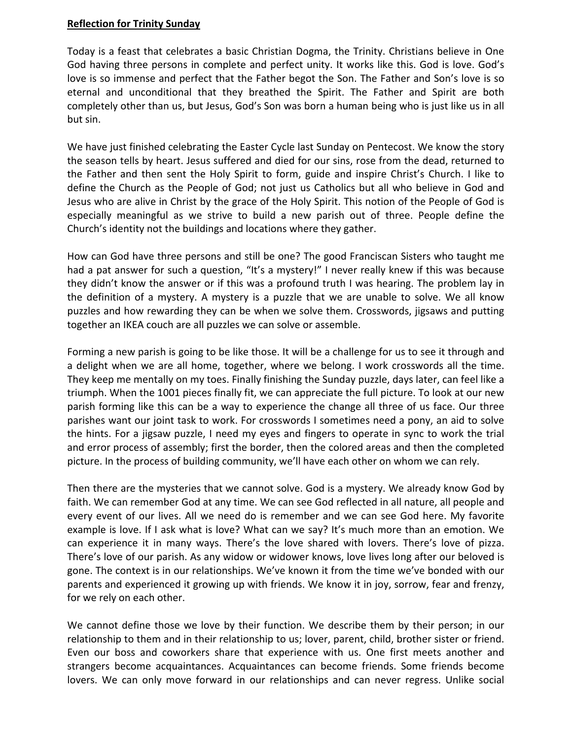### **Reflection for Trinity Sunday**

Today is a feast that celebrates a basic Christian Dogma, the Trinity. Christians believe in One God having three persons in complete and perfect unity. It works like this. God is love. God's love is so immense and perfect that the Father begot the Son. The Father and Son's love is so eternal and unconditional that they breathed the Spirit. The Father and Spirit are both completely other than us, but Jesus, God's Son was born a human being who is just like us in all but sin.

We have just finished celebrating the Easter Cycle last Sunday on Pentecost. We know the story the season tells by heart. Jesus suffered and died for our sins, rose from the dead, returned to the Father and then sent the Holy Spirit to form, guide and inspire Christ's Church. I like to define the Church as the People of God; not just us Catholics but all who believe in God and Jesus who are alive in Christ by the grace of the Holy Spirit. This notion of the People of God is especially meaningful as we strive to build a new parish out of three. People define the Church's identity not the buildings and locations where they gather.

How can God have three persons and still be one? The good Franciscan Sisters who taught me had a pat answer for such a question, "It's a mystery!" I never really knew if this was because they didn't know the answer or if this was a profound truth I was hearing. The problem lay in the definition of a mystery. A mystery is a puzzle that we are unable to solve. We all know puzzles and how rewarding they can be when we solve them. Crosswords, jigsaws and putting together an IKEA couch are all puzzles we can solve or assemble.

Forming a new parish is going to be like those. It will be a challenge for us to see it through and a delight when we are all home, together, where we belong. I work crosswords all the time. They keep me mentally on my toes. Finally finishing the Sunday puzzle, days later, can feel like a triumph. When the 1001 pieces finally fit, we can appreciate the full picture. To look at our new parish forming like this can be a way to experience the change all three of us face. Our three parishes want our joint task to work. For crosswords I sometimes need a pony, an aid to solve the hints. For a jigsaw puzzle, I need my eyes and fingers to operate in sync to work the trial and error process of assembly; first the border, then the colored areas and then the completed picture. In the process of building community, we'll have each other on whom we can rely.

Then there are the mysteries that we cannot solve. God is a mystery. We already know God by faith. We can remember God at any time. We can see God reflected in all nature, all people and every event of our lives. All we need do is remember and we can see God here. My favorite example is love. If I ask what is love? What can we say? It's much more than an emotion. We can experience it in many ways. There's the love shared with lovers. There's love of pizza. There's love of our parish. As any widow or widower knows, love lives long after our beloved is gone. The context is in our relationships. We've known it from the time we've bonded with our parents and experienced it growing up with friends. We know it in joy, sorrow, fear and frenzy, for we rely on each other.

We cannot define those we love by their function. We describe them by their person; in our relationship to them and in their relationship to us; lover, parent, child, brother sister or friend. Even our boss and coworkers share that experience with us. One first meets another and strangers become acquaintances. Acquaintances can become friends. Some friends become lovers. We can only move forward in our relationships and can never regress. Unlike social